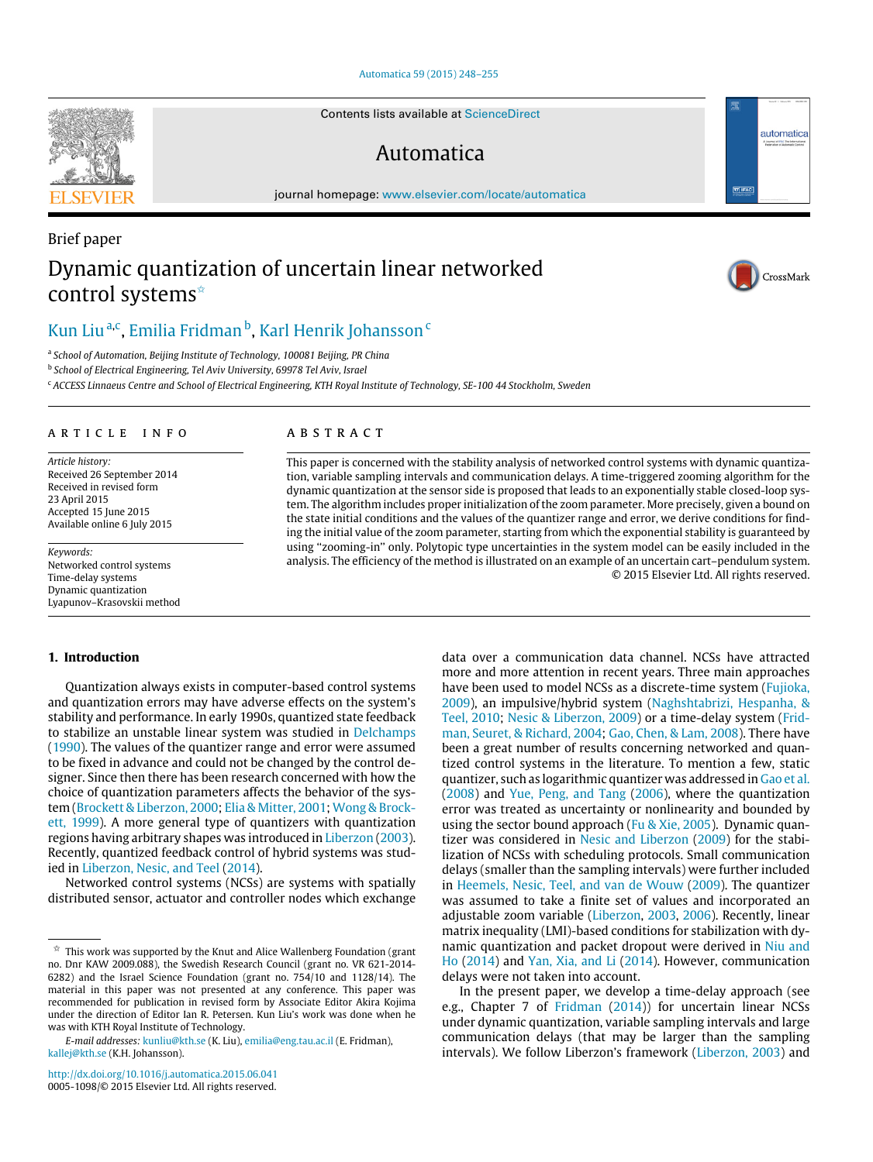#### [Automatica 59 \(2015\) 248–255](http://dx.doi.org/10.1016/j.automatica.2015.06.041)

Contents lists available at [ScienceDirect](http://www.elsevier.com/locate/automatica)

## Automatica

journal homepage: [www.elsevier.com/locate/automatica](http://www.elsevier.com/locate/automatica)

## Brief paper Dynamic quantization of uncertain linear networked control systems[✩](#page-0-0)

# [Kun Liu](#page-7-0)<sup>[a,](#page-0-1)[c](#page-0-2)</sup>, [Emilia Fridman](#page-7-1) <sup>[b](#page-0-3)</sup>, [Karl Henrik Johansson](#page-7-2) <sup>c</sup>

<span id="page-0-1"></span>a *School of Automation, Beijing Institute of Technology, 100081 Beijing, PR China*

<span id="page-0-3"></span>b *School of Electrical Engineering, Tel Aviv University, 69978 Tel Aviv, Israel*

<span id="page-0-2"></span><sup>c</sup> *ACCESS Linnaeus Centre and School of Electrical Engineering, KTH Royal Institute of Technology, SE-100 44 Stockholm, Sweden*

## a r t i c l e i n f o

*Article history:* Received 26 September 2014 Received in revised form 23 April 2015 Accepted 15 June 2015 Available online 6 July 2015

*Keywords:* Networked control systems Time-delay systems Dynamic quantization Lyapunov–Krasovskii method

## **1. Introduction**

Quantization always exists in computer-based control systems and quantization errors may have adverse effects on the system's stability and performance. In early 1990s, quantized state feedback to stabilize an unstable linear system was studied in [Delchamps](#page-7-3) [\(1990\)](#page-7-3). The values of the quantizer range and error were assumed to be fixed in advance and could not be changed by the control designer. Since then there has been research concerned with how the choice of quantization parameters affects the behavior of the sys[t](#page-7-6)em [\(Brockett](#page-7-4) [&](#page-7-4) [Liberzon,](#page-7-4) [2000;](#page-7-4) [Elia](#page-7-5) [&](#page-7-5) [Mitter,](#page-7-5) [2001;](#page-7-5) [Wong](#page-7-6) [&](#page-7-6) [Brock](#page-7-6)[ett,](#page-7-6) [1999\)](#page-7-6). A more general type of quantizers with quantization regions having arbitrary shapes was introduced in [Liberzon](#page-7-7) [\(2003\)](#page-7-7). Recently, quantized feedback control of hybrid systems was studied in [Liberzon,](#page-7-8) [Nesic,](#page-7-8) [and](#page-7-8) [Teel](#page-7-8) [\(2014\)](#page-7-8).

Networked control systems (NCSs) are systems with spatially distributed sensor, actuator and controller nodes which exchange

## A B S T R A C T

This paper is concerned with the stability analysis of networked control systems with dynamic quantization, variable sampling intervals and communication delays. A time-triggered zooming algorithm for the dynamic quantization at the sensor side is proposed that leads to an exponentially stable closed-loop system. The algorithm includes proper initialization of the zoom parameter. More precisely, given a bound on the state initial conditions and the values of the quantizer range and error, we derive conditions for finding the initial value of the zoom parameter, starting from which the exponential stability is guaranteed by using ''zooming-in'' only. Polytopic type uncertainties in the system model can be easily included in the analysis. The efficiency of the method is illustrated on an example of an uncertain cart–pendulum system. © 2015 Elsevier Ltd. All rights reserved.

> data over a communication data channel. NCSs have attracted more and more attention in recent years. Three main approaches have been used to model NCSs as a discrete-time system [\(Fujioka,](#page-7-9) [2009\)](#page-7-9), an impulsive/hybrid system [\(Naghshtabrizi,](#page-7-10) [Hespanha,](#page-7-10) [&](#page-7-10) [Teel,](#page-7-10) [2010;](#page-7-10) [Nesic](#page-7-11) [&](#page-7-11) [Liberzon,](#page-7-11) [2009\)](#page-7-11) or a time-delay system [\(Frid](#page-7-12)[man,](#page-7-12) [Seuret,](#page-7-12) [&](#page-7-12) [Richard,](#page-7-12) [2004;](#page-7-12) [Gao,](#page-7-13) [Chen,](#page-7-13) [&](#page-7-13) [Lam,](#page-7-13) [2008\)](#page-7-13). There have been a great number of results concerning networked and quantized control systems in the literature. To mention a few, static quantizer, such as logarithmic quantizer was addressed in [Gao](#page-7-13) [et al.](#page-7-13) [\(2008\)](#page-7-13) and [Yue,](#page-7-14) [Peng,](#page-7-14) [and](#page-7-14) [Tang](#page-7-14) [\(2006\)](#page-7-14), where the quantization error was treated as uncertainty or nonlinearity and bounded by using the sector bound approach [\(Fu](#page-7-15) [&](#page-7-15) [Xie,](#page-7-15) [2005\)](#page-7-15). Dynamic quantizer was considered in [Nesic](#page-7-11) [and](#page-7-11) [Liberzon](#page-7-11) [\(2009\)](#page-7-11) for the stabilization of NCSs with scheduling protocols. Small communication delays (smaller than the sampling intervals) were further included in [Heemels,](#page-7-16) [Nesic,](#page-7-16) [Teel,](#page-7-16) [and](#page-7-16) [van](#page-7-16) [de](#page-7-16) [Wouw](#page-7-16) [\(2009\)](#page-7-16). The quantizer was assumed to take a finite set of values and incorporated an adjustable zoom variable [\(Liberzon,](#page-7-7) [2003,](#page-7-7) [2006\)](#page-7-7). Recently, linear matrix inequality (LMI)-based conditions for stabilization with dynamic quantization and packet dropout were derived in [Niu](#page-7-17) [and](#page-7-17) [Ho](#page-7-17) [\(2014\)](#page-7-17) and [Yan,](#page-7-18) [Xia,](#page-7-18) [and](#page-7-18) [Li](#page-7-18) [\(2014\)](#page-7-18). However, communication delays were not taken into account.

> In the present paper, we develop a time-delay approach (see e.g., Chapter 7 of [Fridman](#page-7-19) [\(2014\)](#page-7-19)) for uncertain linear NCSs under dynamic quantization, variable sampling intervals and large communication delays (that may be larger than the sampling intervals). We follow Liberzon's framework [\(Liberzon,](#page-7-7) [2003\)](#page-7-7) and





<u>जिलि</u>

automatica

<span id="page-0-0"></span> $^\star$  This work was supported by the Knut and Alice Wallenberg Foundation (grant no. Dnr KAW 2009.088), the Swedish Research Council (grant no. VR 621-2014- 6282) and the Israel Science Foundation (grant no. 754/10 and 1128/14). The material in this paper was not presented at any conference. This paper was recommended for publication in revised form by Associate Editor Akira Kojima under the direction of Editor Ian R. Petersen. Kun Liu's work was done when he was with KTH Royal Institute of Technology.

*E-mail addresses:* [kunliu@kth.se](mailto:kunliu@kth.se) (K. Liu), [emilia@eng.tau.ac.il](mailto:emilia@eng.tau.ac.il) (E. Fridman), [kallej@kth.se](mailto:kallej@kth.se) (K.H. Johansson).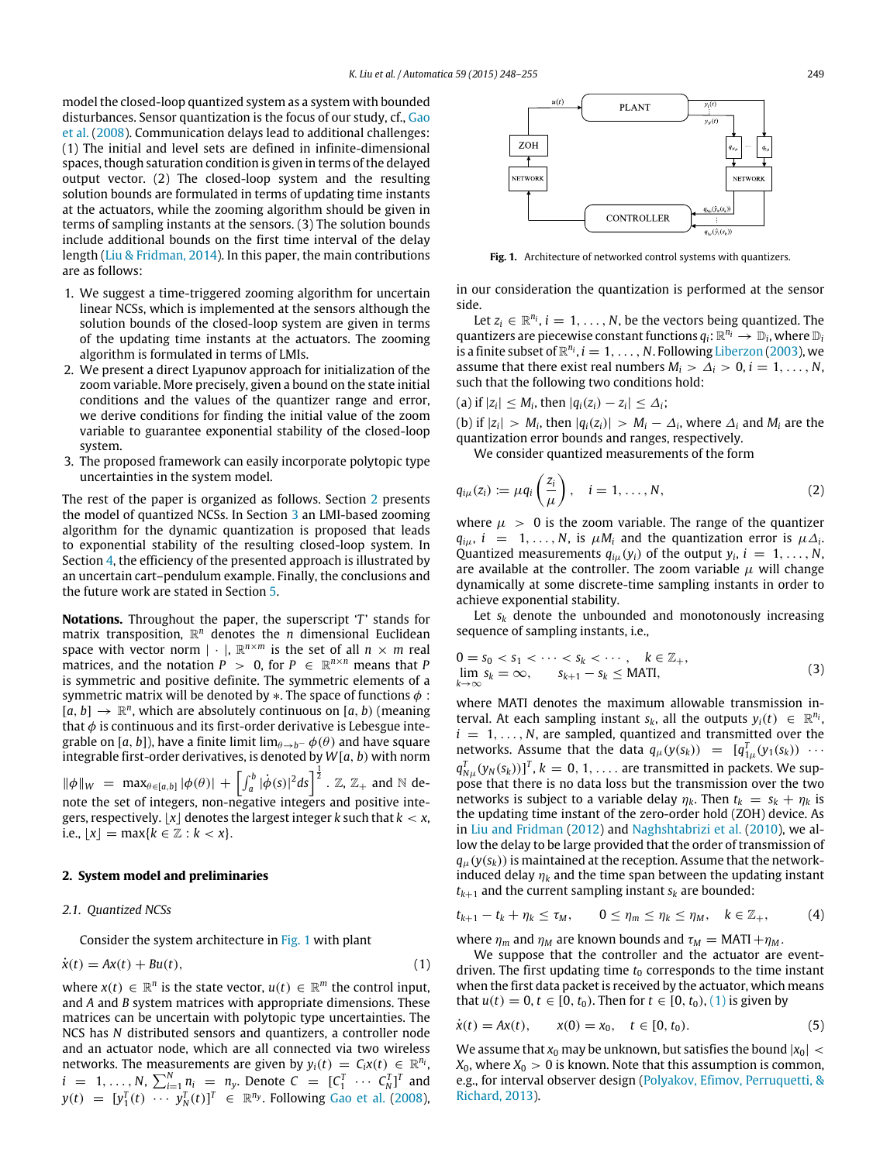model the closed-loop quantized system as a system with bounded disturbances. Sensor quantization is the focus of our study, cf., [Gao](#page-7-13) [et al.](#page-7-13) [\(2008\)](#page-7-13). Communication delays lead to additional challenges: (1) The initial and level sets are defined in infinite-dimensional spaces, though saturation condition is given in terms of the delayed output vector. (2) The closed-loop system and the resulting solution bounds are formulated in terms of updating time instants at the actuators, while the zooming algorithm should be given in terms of sampling instants at the sensors. (3) The solution bounds include additional bounds on the first time interval of the delay length [\(Liu](#page-7-20) [&](#page-7-20) [Fridman,](#page-7-20) [2014\)](#page-7-20). In this paper, the main contributions are as follows:

- 1. We suggest a time-triggered zooming algorithm for uncertain linear NCSs, which is implemented at the sensors although the solution bounds of the closed-loop system are given in terms of the updating time instants at the actuators. The zooming algorithm is formulated in terms of LMIs.
- 2. We present a direct Lyapunov approach for initialization of the zoom variable. More precisely, given a bound on the state initial conditions and the values of the quantizer range and error, we derive conditions for finding the initial value of the zoom variable to guarantee exponential stability of the closed-loop system.
- 3. The proposed framework can easily incorporate polytopic type uncertainties in the system model.

The rest of the paper is organized as follows. Section [2](#page-1-0) presents the model of quantized NCSs. In Section [3](#page-2-0) an LMI-based zooming algorithm for the dynamic quantization is proposed that leads to exponential stability of the resulting closed-loop system. In Section [4,](#page-5-0) the efficiency of the presented approach is illustrated by an uncertain cart–pendulum example. Finally, the conclusions and the future work are stated in Section [5.](#page-6-0)

**Notations.** Throughout the paper, the superscript '*T*' stands for matrix transposition, R *<sup>n</sup>* denotes the *n* dimensional Euclidean space with vector norm  $| \cdot |$ ,  $\mathbb{R}^{n \times m}$  is the set of all  $n \times m$  real matrices, and the notation  $P > 0$ , for  $P \in \mathbb{R}^{n \times n}$  means that P is symmetric and positive definite. The symmetric elements of a symmetric matrix will be denoted by  $*$ . The space of functions  $\phi$ :  $[a, b] \rightarrow \mathbb{R}^n$ , which are absolutely continuous on  $[a, b)$  (meaning that  $\phi$  is continuous and its first-order derivative is Lebesgue integrable on [a, b]), have a finite limit  $\lim_{\theta \to b^-} \phi(\theta)$  and have square integrable first-order derivatives, is denoted by *W*[*a*, *b*) with norm  $\|\phi\|_{W} = \max_{\theta \in [a,b]} |\phi(\theta)| + \left[ \int_{a}^{b} |\dot{\phi}(s)|^{2} ds \right]^{\frac{1}{2}}$ . Z, Z<sub>+</sub> and N denote the set of integers, non-negative integers and positive integers, respectively.  $\lfloor x \rfloor$  denotes the largest integer *k* such that  $k < x$ , *i.e.*,  $\lfloor x \rfloor = \max\{k \in \mathbb{Z} : k < x\}.$ 

#### <span id="page-1-0"></span>**2. System model and preliminaries**

## *2.1. Quantized NCSs*

Consider the system architecture in [Fig. 1](#page-1-1) with plant

$$
\dot{x}(t) = Ax(t) + Bu(t),\tag{1}
$$

where  $x(t) \in \mathbb{R}^n$  is the state vector,  $u(t) \in \mathbb{R}^m$  the control input, and *A* and *B* system matrices with appropriate dimensions. These matrices can be uncertain with polytopic type uncertainties. The NCS has *N* distributed sensors and quantizers, a controller node and an actuator node, which are all connected via two wireless networks. The measurements are given by  $y_i(t) = C_i x(t) \in \mathbb{R}^{n_i}$ ,  $i = 1, ..., N$ ,  $\sum_{i=1}^{N} n_i = n_y$ . Denote  $C = [C_1^T \cdots C_N^T]^T$  and  $y(t) = [y_1^T(t) \cdots y_N^T(t)]^T \in \mathbb{R}^{n_y}$ . Following [Gao](#page-7-13) [et al.](#page-7-13) [\(2008\)](#page-7-13),

<span id="page-1-1"></span>

**Fig. 1.** Architecture of networked control systems with quantizers.

in our consideration the quantization is performed at the sensor side.

Let  $z_i \in \mathbb{R}^{n_i}$ ,  $i = 1, \ldots, N$ , be the vectors being quantized. The quantizers are piecewise constant functions  $q_i: \mathbb{R}^{n_i} \to \mathbb{D}_i$ , where  $\mathbb{D}_i$ is a finite subset of  $\mathbb{R}^{n_i}$ ,  $i = 1, ..., N$ . Following [Liberzon](#page-7-7) [\(2003\)](#page-7-7), we assume that there exist real numbers  $M_i > \Delta_i > 0$ ,  $i = 1, \ldots, N$ , such that the following two conditions hold:

(a) if 
$$
|z_i| \leq M_i
$$
, then  $|q_i(z_i) - z_i| \leq \Delta_i$ ;

(b) if  $|z_i| > M_i$ , then  $|q_i(z_i)| > M_i - \Delta_i$ , where  $\Delta_i$  and  $M_i$  are the quantization error bounds and ranges, respectively.

We consider quantized measurements of the form

$$
q_{i\mu}(z_i) := \mu q_i\left(\frac{z_i}{\mu}\right), \quad i = 1, \ldots, N,
$$
\n(2)

where  $\mu > 0$  is the zoom variable. The range of the quantizer  $q_{i\mu}$ , *i* = 1, ..., *N*, is  $\mu M_i$  and the quantization error is  $\mu \Delta_i$ . Quantized measurements  $q_{i\mu}(y_i)$  of the output  $y_i$ ,  $i = 1, ..., N$ , are available at the controller. The zoom variable  $\mu$  will change dynamically at some discrete-time sampling instants in order to achieve exponential stability.

Let  $s_k$  denote the unbounded and monotonously increasing sequence of sampling instants, i.e.,

$$
0 = s_0 < s_1 < \cdots < s_k < \cdots, \quad k \in \mathbb{Z}_+,
$$
  
\n
$$
\lim_{k \to \infty} s_k = \infty, \qquad s_{k+1} - s_k \leq \text{MATI},
$$
\n(3)

where MATI denotes the maximum allowable transmission interval. At each sampling instant  $s_k$ , all the outputs  $y_i(t) \in \mathbb{R}^{n_i}$ ,  $i = 1, \ldots, N$ , are sampled, quantized and transmitted over the networks. Assume that the data  $q_{\mu}(y(s_k)) = [q_{1\mu}^T(y_1(s_k)) \cdots$  $q_{N\mu}^T(y_N(s_k))$ <sup>T</sup>,  $k = 0, 1, \ldots$  are transmitted in packets. We suppose that there is no data loss but the transmission over the two networks is subject to a variable delay  $\eta_k$ . Then  $t_k = s_k + \eta_k$  is the updating time instant of the zero-order hold (ZOH) device. As in [Liu](#page-7-21) [and](#page-7-21) [Fridman](#page-7-21) [\(2012\)](#page-7-21) and [Naghshtabrizi](#page-7-10) [et al.](#page-7-10) [\(2010\)](#page-7-10), we allow the delay to be large provided that the order of transmission of  $q_{\mu}(y(s_k))$  is maintained at the reception. Assume that the networkinduced delay  $\eta_k$  and the time span between the updating instant  $t_{k+1}$  and the current sampling instant  $s_k$  are bounded:

<span id="page-1-3"></span>
$$
t_{k+1}-t_k+\eta_k\leq \tau_M,\qquad 0\leq \eta_m\leq \eta_k\leq \eta_M,\quad k\in\mathbb{Z}_+,\qquad (4)
$$

where  $\eta_m$  and  $\eta_M$  are known bounds and  $\tau_M = \text{MATI} + \eta_M$ .

<span id="page-1-2"></span>We suppose that the controller and the actuator are eventdriven. The first updating time  $t_0$  corresponds to the time instant when the first data packet is received by the actuator, which means that *u*(*t*) = 0, *t* ∈ [0, *t*<sub>0</sub>). Then for *t* ∈ [0, *t*<sub>0</sub>), [\(1\)](#page-1-2) is given by

<span id="page-1-4"></span>
$$
\dot{x}(t) = Ax(t), \qquad x(0) = x_0, \quad t \in [0, t_0). \tag{5}
$$

We assume that  $x_0$  may be unknown, but satisfies the bound  $|x_0|$  <  $X_0$ , where  $X_0 > 0$  is known. Note that this assumption is common, e.g., for interval observer design [\(Polyakov,](#page-7-22) [Efimov,](#page-7-22) [Perruquetti,](#page-7-22) [&](#page-7-22) [Richard,](#page-7-22) [2013\)](#page-7-22).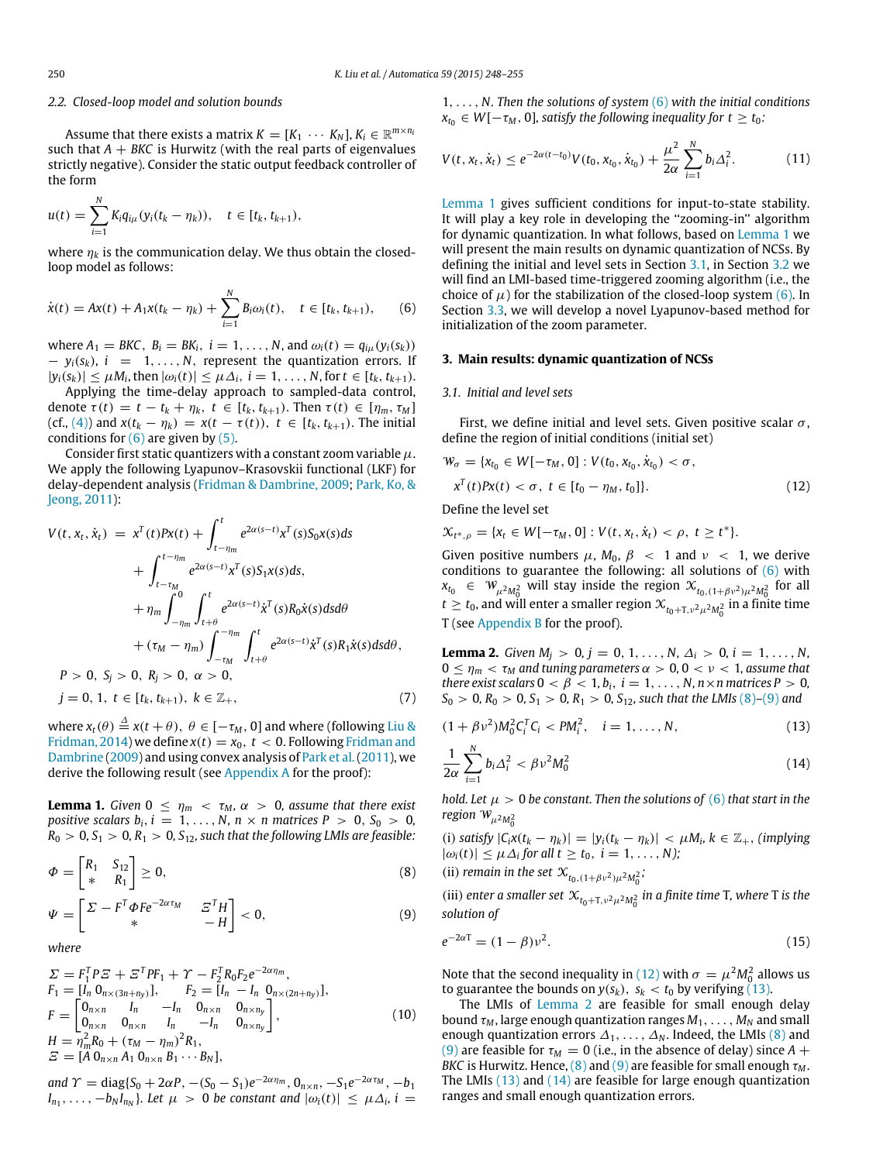#### *2.2. Closed-loop model and solution bounds*

Assume that there exists a matrix  $K = [K_1 \cdots K_N]$ ,  $K_i \in \mathbb{R}^{m \times n_i}$ such that  $A + B K C$  is Hurwitz (with the real parts of eigenvalues strictly negative). Consider the static output feedback controller of the form

$$
u(t) = \sum_{i=1}^{N} K_i q_{i\mu} (y_i(t_k - \eta_k)), \quad t \in [t_k, t_{k+1}),
$$

where  $\eta_k$  is the communication delay. We thus obtain the closedloop model as follows:

$$
\dot{x}(t) = Ax(t) + A_1 x(t_k - \eta_k) + \sum_{i=1}^{N} B_i \omega_i(t), \quad t \in [t_k, t_{k+1}), \tag{6}
$$

where  $A_1 = BKC$ ,  $B_i = BK_i$ ,  $i = 1, ..., N$ , and  $\omega_i(t) = q_{i\mu}(y_i(s_k))$  $-y_i(s_k)$ ,  $i = 1, ..., N$ , represent the quantization errors. If  $|y_i(s_k)| \le \mu M_i$ , then  $|\omega_i(t)| \le \mu \Delta_i$ ,  $i = 1, ..., N$ , for  $t \in [t_k, t_{k+1})$ .

Applying the time-delay approach to sampled-data control, denote  $\tau(t) = t - t_k + \eta_k$ ,  $t \in [t_k, t_{k+1})$ . Then  $\tau(t) \in [\eta_m, \tau_M]$ (cf., [\(4\)\)](#page-1-3) and  $x(t_k - \eta_k) = x(t - \tau(t))$ ,  $t \in [t_k, t_{k+1})$ . The initial conditions for  $(6)$  are given by  $(5)$ .

Consider first static quantizers with a constant zoom variable  $\mu$ . We apply the following Lyapunov–Krasovskii functional (LKF) for delay-dependent analysis [\(Fridman](#page-7-23) [&](#page-7-23) [Dambrine,](#page-7-23) [2009;](#page-7-23) [Park,](#page-7-24) [Ko,](#page-7-24) [&](#page-7-24) [Jeong,](#page-7-24) [2011\)](#page-7-24):

$$
V(t, x_t, \dot{x}_t) = x^T(t)Px(t) + \int_{t-\eta_m}^t e^{2\alpha(s-t)}x^T(s)S_0x(s)ds
$$
  
+ 
$$
\int_{t-\tau_M}^{t-\eta_m} e^{2\alpha(s-t)}x^T(s)S_1x(s)ds,
$$
  
+ 
$$
\eta_m \int_{-\eta_m}^0 \int_{t+\theta}^t e^{2\alpha(s-t)}\dot{x}^T(s)R_0\dot{x}(s)dsd\theta
$$
  
+ 
$$
(\tau_M - \eta_m) \int_{-\tau_M}^{-\eta_m} \int_{t+\theta}^t e^{2\alpha(s-t)}\dot{x}^T(s)R_1\dot{x}(s)dsd\theta,
$$
  

$$
P > 0, S_j > 0, R_j > 0, \alpha > 0,
$$

$$
j = 0, 1, t \in [t_k, t_{k+1}), k \in \mathbb{Z}_+, \tag{7}
$$

where  $x_t(\theta) \stackrel{\Delta}{=} x(t + \theta)$ ,  $\theta \in [-\tau_M, 0]$  and where (following [Liu](#page-7-20) [&](#page-7-20) [Fridman,](#page-7-20) [2014\)](#page-7-20) we define  $x(t) = x_0, t < 0$ . Following [Fridman](#page-7-23) [and](#page-7-23) [Dambrine](#page-7-23) [\(2009\)](#page-7-23) and using convex analysis of [Park](#page-7-24) [et al.\(2011\)](#page-7-24), we derive the following result (see [Appendix A](#page-6-1) for the proof):

<span id="page-2-2"></span>**Lemma 1.** *Given*  $0 \le \eta_m < \tau_M$ ,  $\alpha > 0$ , *assume that there exist positive scalars b<sub>i</sub>, i* = 1, ..., *N*, *n*  $\times$  *n* matrices *P*  $>$  0, *S*<sub>0</sub>  $>$  0,  $R_0 > 0, S_1 > 0, R_1 > 0, S_{12}$ , such that the following LMIs are feasible:

$$
\Phi = \begin{bmatrix} R_1 & S_{12} \\ * & R_1 \end{bmatrix} \ge 0,\tag{8}
$$

$$
\Psi = \begin{bmatrix} \Sigma - F^T \Phi F e^{-2\alpha \tau_M} & \Xi^T H \\ * & -H \end{bmatrix} < 0,\tag{9}
$$

*where*

$$
\Sigma = F_1^T P E + E^T P F_1 + \gamma - F_2^T R_0 F_2 e^{-2\alpha \eta_m},
$$
\n
$$
F_1 = [I_n 0_{n \times (3n + n_y)}], \qquad F_2 = [I_n - I_n 0_{n \times (2n + n_y)}],
$$
\n
$$
F = \begin{bmatrix} 0_{n \times n} & I_n & -I_n & 0_{n \times n} & 0_{n \times n_y} \\ 0_{n \times n} & 0_{n \times n} & I_n & -I_n & 0_{n \times n_y} \end{bmatrix},
$$
\n
$$
H = \eta_m^2 R_0 + (\tau_M - \eta_m)^2 R_1,
$$
\n
$$
\Sigma = [A 0_{n \times n} A_1 0_{n \times n} B_1 \cdots B_N],
$$
\n(10)

*and*  $\Upsilon$  = diag{ $S_0$  + 2 $\alpha$ *P*, -( $S_0$  -  $S_1$ ) $e^{-2\alpha\eta_m}$ ,  $0_{n \times n}$ , - $S_1e^{-2\alpha\tau_M}$ , - $b_1$  $I_{n_1}, \ldots, -b_N I_{n_N}$ . Let  $\mu > 0$  be constant and  $|\omega_i(t)| \leq \mu \Delta_i$ , i =

1, . . . , *N. Then the solutions of system* [\(6\)](#page-2-1) *with the initial conditions*  $x_{t_0} \in W[-\tau_M, 0]$ , satisfy the following inequality for  $t \geq t_0$ :

<span id="page-2-13"></span>
$$
V(t, x_t, \dot{x}_t) \le e^{-2\alpha(t - t_0)} V(t_0, x_{t_0}, \dot{x}_{t_0}) + \frac{\mu^2}{2\alpha} \sum_{i=1}^N b_i \Delta_i^2.
$$
 (11)

[Lemma 1](#page-2-2) gives sufficient conditions for input-to-state stability. It will play a key role in developing the ''zooming-in'' algorithm for dynamic quantization. In what follows, based on [Lemma 1](#page-2-2) we will present the main results on dynamic quantization of NCSs. By defining the initial and level sets in Section [3.1,](#page-2-3) in Section [3.2](#page-3-0) we will find an LMI-based time-triggered zooming algorithm (i.e., the choice of  $\mu$ ) for the stabilization of the closed-loop system [\(6\).](#page-2-1) In Section [3.3,](#page-3-1) we will develop a novel Lyapunov-based method for initialization of the zoom parameter.

## <span id="page-2-1"></span><span id="page-2-0"></span>**3. Main results: dynamic quantization of NCSs**

#### <span id="page-2-3"></span>*3.1. Initial and level sets*

First, we define initial and level sets. Given positive scalar  $\sigma$ , define the region of initial conditions (initial set)

<span id="page-2-6"></span>
$$
\mathcal{W}_{\sigma} = \{x_{t_0} \in W[-\tau_M, 0] : V(t_0, x_{t_0}, \dot{x}_{t_0}) < \sigma, \n x^T(t)Px(t) < \sigma, \ t \in [t_0 - \eta_M, t_0]\}.
$$
\n(12)

Define the level set

 $\mathcal{X}_{t^*,\rho} = \{x_t \in W[-\tau_M,0] : V(t,x_t,\dot{x}_t) < \rho, t \geq t^*\}.$ 

Given positive numbers  $\mu$ ,  $M_0$ ,  $\beta$  < 1 and  $\nu$  < 1, we derive conditions to guarantee the following: all solutions of  $(6)$  with  $x_{t_0} \in W_{\mu^2 M_0^2}$  will stay inside the region  $x_{t_0,(1+\beta \nu^2)\mu^2 M_0^2}$  for all  $t \ge t_0$ , and will enter a smaller region  $\mathcal{X}_{t_0+T,\nu^2\mu^2M_0^2}$  in a finite time T (see [Appendix B](#page-6-2) for the proof).

<span id="page-2-8"></span>**Lemma 2.** *Given*  $M_i > 0$ ,  $j = 0, 1, ..., N$ ,  $\Delta_i > 0$ ,  $i = 1, ..., N$ ,  $0 \leq \eta_m < \tau_M$  and tuning parameters  $\alpha > 0$ ,  $0 < \nu < 1$ , assume that *there exist scalars*  $0 < \beta < 1$ ,  $b_i$ ,  $i = 1, ..., N$ ,  $n \times n$  matrices  $P > 0$ ,  $S_0 > 0$ ,  $R_0 > 0$ ,  $S_1 > 0$ ,  $R_1 > 0$ ,  $S_{12}$ , such that the LMIs [\(8\)](#page-2-4)–[\(9\)](#page-2-5) and

<span id="page-2-10"></span>
$$
(1 + \beta v^2)M_0^2 C_i^T C_i < PM_i^2, \quad i = 1, \dots, N,\tag{13}
$$

<span id="page-2-9"></span><span id="page-2-7"></span>
$$
\frac{1}{2\alpha} \sum_{i=1}^{N} b_i \Delta_i^2 < \beta v^2 M_0^2 \tag{14}
$$

*hold. Let*  $\mu > 0$  *be constant. Then the solutions of* [\(6\)](#page-2-1) *that start in the* region  $W_{\mu^2 M_0^2}$ 

(i) *satisfy*  $|C_i x(t_k - \eta_k)| = |y_i(t_k - \eta_k)| < \mu M_i, k \in \mathbb{Z}_+$ , *(implying*  $|\omega_i(t)| \leq \mu \Delta_i$  for all  $t \geq t_0$ ,  $i = 1, \ldots, N$ );

<span id="page-2-4"></span>(ii) *remain in the set*  $\mathcal{X}_{t_0,(1+\beta v^2)\mu^2 M_0^2}$ ;

<span id="page-2-5"></span>(iii) *enter a smaller set*  $\mathcal{X}_{t_0+T,v^2\mu^2M_0^2}$  *in a finite time* T, where T *is the solution of*

<span id="page-2-12"></span>
$$
e^{-2\alpha T} = (1 - \beta)\nu^2.
$$
 (15)

<span id="page-2-11"></span>Note that the second inequality in [\(12\)](#page-2-6) with  $\sigma = \mu^2 M_0^2$  allows us to guarantee the bounds on  $y(s_k)$ ,  $s_k < t_0$  by verifying [\(13\).](#page-2-7)

The LMIs of [Lemma 2](#page-2-8) are feasible for small enough delay bound  $\tau_M$ , large enough quantization ranges  $M_1, \ldots, M_N$  and small enough quantization errors  $\Delta_1, \ldots, \Delta_N$ . Indeed, the LMIs [\(8\)](#page-2-4) and [\(9\)](#page-2-5) are feasible for  $\tau_M = 0$  (i.e., in the absence of delay) since  $A +$ *BKC* is Hurwitz. Hence,  $(8)$  and  $(9)$  are feasible for small enough  $\tau_M$ . The LMIs [\(13\)](#page-2-7) and [\(14\)](#page-2-9) are feasible for large enough quantization ranges and small enough quantization errors.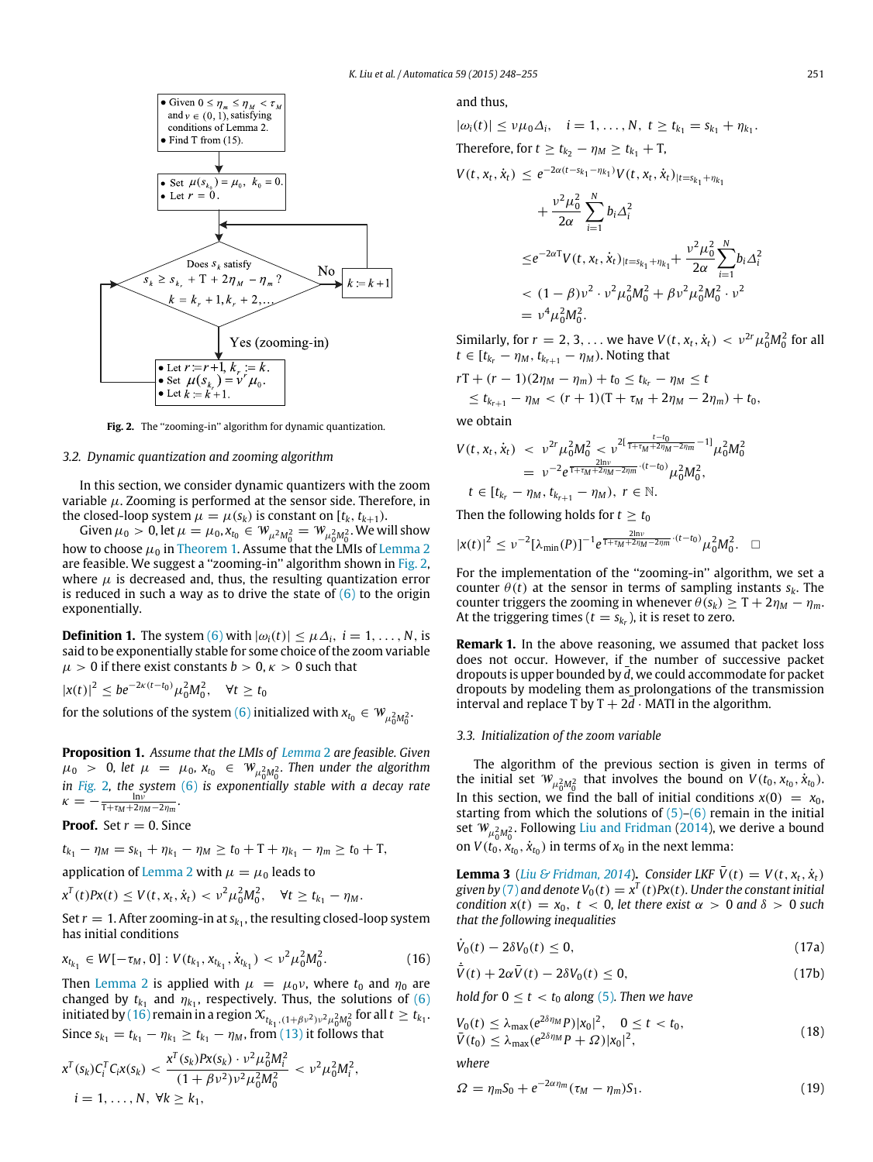<span id="page-3-2"></span>

Fig. 2. The "zooming-in" algorithm for dynamic quantization.

## <span id="page-3-0"></span>*3.2. Dynamic quantization and zooming algorithm*

In this section, we consider dynamic quantizers with the zoom variable  $\mu$ . Zooming is performed at the sensor side. Therefore, in the closed-loop system  $\mu = \mu(s_k)$  is constant on  $[t_k, t_{k+1})$ .

Given  $\mu_0 > 0$ , let  $\mu = \mu_0$ ,  $x_{t_0} \in W_{\mu^2 M_0^2} = W_{\mu_0^2 M_0^2}$ . We will show how to choose  $\mu_0$  in [Theorem 1.](#page-4-0) Assume that the LMIs of [Lemma 2](#page-2-8) are feasible. We suggest a "zooming-in" algorithm shown in [Fig. 2,](#page-3-2) where  $\mu$  is decreased and, thus, the resulting quantization error is reduced in such a way as to drive the state of  $(6)$  to the origin exponentially.

**Definition 1.** The system [\(6\)](#page-2-1) with  $|\omega_i(t)| \leq \mu \Delta_i$ ,  $i = 1, \ldots, N$ , is said to be exponentially stable for some choice of the zoom variable  $\mu > 0$  if there exist constants  $b > 0$ ,  $\kappa > 0$  such that

$$
|x(t)|^2 \le b e^{-2\kappa(t-t_0)} \mu_0^2 M_0^2, \quad \forall t \ge t_0
$$

for the solutions of the system [\(6\)](#page-2-1) initialized with  $x_{t_0} \in W_{\mu_0^2 M_0^2}$ .

<span id="page-3-6"></span>**Proposition 1.** *Assume that the LMIs of [Lemma](#page-2-8)* 2 *are feasible. Given*  $\mu_0$  > 0, let  $\mu = \mu_0$ ,  $x_{t_0} \in W_{\mu_0^2 M_0^2}$ . Then under the algorithm 0 0 *in [Fig.](#page-3-2)* 2*, the system* [\(6\)](#page-2-1) *is exponentially stable with a decay rate*  $\kappa = -\frac{\ln \nu}{\tau + \tau_M + 2\eta_M - 2\eta_m}.$ 

**Proof.** Set  $r = 0$ . Since

 $t_{k_1} - \eta_M = s_{k_1} + \eta_{k_1} - \eta_M \ge t_0 + T + \eta_{k_1} - \eta_m \ge t_0 + T$ ,

application of [Lemma 2](#page-2-8) with  $\mu = \mu_0$  leads to

 $x^T(t)Px(t) \le V(t, x_t, \dot{x}_t) < v^2\mu_0^2M_0^2$ ,  $\forall t \ge t_{k_1} - \eta_M$ .

Set  $r = 1$ . After zooming-in at  $s_{k_1}$ , the resulting closed-loop system has initial conditions

$$
x_{t_{k_1}} \in W[-\tau_M, 0] : V(t_{k_1}, x_{t_{k_1}}, \dot{x}_{t_{k_1}}) < \nu^2 \mu_0^2 M_0^2. \tag{16}
$$

Then [Lemma 2](#page-2-8) is applied with  $\mu = \mu_0 v$ , where  $t_0$  and  $\eta_0$  are changed by  $t_{k_1}$  and  $\eta_{k_1}$ , respectively. Thus, the solutions of [\(6\)](#page-2-1) initiated by [\(16\)](#page-3-3) remain in a region  $x_{_{t_{k_1},(1+\beta v^2)v^2\mu^2_0M^2_0}}$  for all  $t\geq t_{k_1}.$ Since  $s_{k_1} = t_{k_1} - \eta_{k_1} \ge t_{k_1} - \eta_M$ , from [\(13\)](#page-2-7) it follows that

$$
x^{T}(s_{k})C_{i}^{T}C_{i}x(s_{k}) < \frac{x^{T}(s_{k})Px(s_{k}) \cdot \nu^{2}\mu_{0}^{2}M_{i}^{2}}{(1+\beta\nu^{2})\nu^{2}\mu_{0}^{2}M_{0}^{2}} < \nu^{2}\mu_{0}^{2}M_{i}^{2},
$$
  
\n
$$
i = 1, ..., N, \forall k \geq k_{1},
$$

### and thus,

$$
|\omega_i(t)| \le \nu \mu_0 \Delta_i, \quad i = 1, ..., N, \ t \ge t_{k_1} = s_{k_1} + \eta_{k_1}.
$$
  
\nTherefore, for  $t \ge t_{k_2} - \eta_M \ge t_{k_1} + T$ ,  
\n
$$
V(t, x_t, \dot{x}_t) \le e^{-2\alpha(t - s_{k_1} - \eta_{k_1})} V(t, x_t, \dot{x}_t)_{|t = s_{k_1} + \eta_{k_1}}
$$
\n
$$
+ \frac{\nu^2 \mu_0^2}{2\alpha} \sum_{i=1}^N b_i \Delta_i^2
$$
\n
$$
\le e^{-2\alpha T} V(t, x_t, \dot{x}_t)_{|t = s_{k_1} + \eta_{k_1}} + \frac{\nu^2 \mu_0^2}{2\alpha} \sum_{i=1}^N b_i \Delta_i^2
$$
\n
$$
< (1 - \beta) \nu^2 \cdot \nu^2 \mu_0^2 M_0^2 + \beta \nu^2 \mu_0^2 M_0^2 \cdot \nu^2
$$

Similarly, for 
$$
r = 2, 3, ...
$$
 we have  $V(t, x_t, \dot{x}_t) < v^{2r} \mu_0^2 M_0^2$  for all  $t \in [t_{k_r} - \eta_M, t_{k_{r+1}} - \eta_M)$ . Noting that

*<sup>t</sup>*−*t*<sup>0</sup>

 $rT + (r - 1)(2\eta_M - \eta_m) + t_0 \le t_{k_r} - \eta_M \le t$ 

$$
\leq t_{k_{r+1}} - \eta_M < (r+1)(T + \tau_M + 2\eta_M - 2\eta_m) + t_0,
$$

we obtain

$$
V(t, x_t, \dot{x}_t) < \nu^{2r} \mu_0^2 M_0^2 < \nu^{2[\frac{t}{T + \tau_M + 2\eta_M - 2\eta_m} - 1]} \mu_0^2 M_0^2
$$
\n
$$
= \nu^{-2} e^{\frac{2\ln \nu}{T + \tau_M + 2\eta_M - 2\eta_m} \cdot (t - t_0)} \mu_0^2 M_0^2,
$$
\n
$$
t \in [t_{k_r} - \eta_M, t_{k_{r+1}} - \eta_M), \ r \in \mathbb{N}.
$$

Then the following holds for  $t > t_0$ 

 $=$   $\nu$  $^4\mu$ 2  $\frac{2}{0}M$ 2 0 .

$$
|x(t)|^2 \leq \nu^{-2} [\lambda_{\min}(P)]^{-1} e^{\frac{2\ln \nu}{1+t_M+2\eta_M-2\eta_m} \cdot (t-t_0)} \mu_0^2 M_0^2. \quad \Box
$$

For the implementation of the ''zooming-in'' algorithm, we set a counter  $\theta(t)$  at the sensor in terms of sampling instants  $s_k$ . The counter triggers the zooming in whenever  $\theta(s_k) \geq T + 2\eta_M - \eta_m$ . At the triggering times ( $t = s_{k_r}$ ), it is reset to zero.

**Remark 1.** In the above reasoning, we assumed that packet loss does not occur. However, if the number of successive packet dropouts is upper bounded by  $\overline{d}$ , we could accommodate for packet dropouts by modeling them as prolongations of the transmission interval and replace T by  $T + 2d \cdot \text{MATI}$  in the algorithm.

## <span id="page-3-1"></span>*3.3. Initialization of the zoom variable*

The algorithm of the previous section is given in terms of the initial set  $W_{\mu_0^2 M_0^2}$  that involves the bound on  $V(t_0, x_{t_0}, \dot{x}_{t_0})$ . In this section, we find the ball of initial conditions  $x(0) = x_0$ , starting from which the solutions of  $(5)-(6)$  $(5)-(6)$  remain in the initial set  $W_{\mu_0^2 M_0^2}$ . Following [Liu](#page-7-20) [and](#page-7-20) [Fridman](#page-7-20) [\(2014\)](#page-7-20), we derive a bound on  $V(t_0, x_{t_0}, \dot{x}_{t_0})$  in terms of  $x_0$  in the next lemma:

**Lemma 3** (*[Liu](#page-7-20) [&](#page-7-20) [Fridman,](#page-7-20) [2014](#page-7-20)*). *Consider LKF*  $\bar{V}(t) = V(t, x_t, \dot{x}_t)$ *given by* [\(7\)](#page-2-10) and denote  $V_0(t) = x^T(t)Px(t)$ . Under the constant initial *condition*  $x(t) = x_0$ ,  $t < 0$ , let there exist  $\alpha > 0$  and  $\delta > 0$  such *that the following inequalities*

$$
\dot{V}_0(t) - 2\delta V_0(t) \le 0,\tag{17a}
$$

<span id="page-3-3"></span>
$$
\dot{\bar{V}}(t) + 2\alpha \bar{V}(t) - 2\delta V_0(t) \le 0, \qquad (17b)
$$

*hold for*  $0 \le t < t_0$  *along* [\(5\)](#page-1-4)*. Then we have* 

$$
V_0(t) \leq \lambda_{\max}(e^{2\delta\eta_M}P)|x_0|^2, \quad 0 \leq t < t_0, \n\bar{V}(t_0) \leq \lambda_{\max}(e^{2\delta\eta_M}P + \Omega)|x_0|^2,
$$
\n
$$
(18)
$$

*where*

<span id="page-3-5"></span> $\overline{\phantom{a}}$ 

<span id="page-3-4"></span>
$$
\Omega = \eta_m S_0 + e^{-2\alpha \eta_m} (\tau_M - \eta_m) S_1. \tag{19}
$$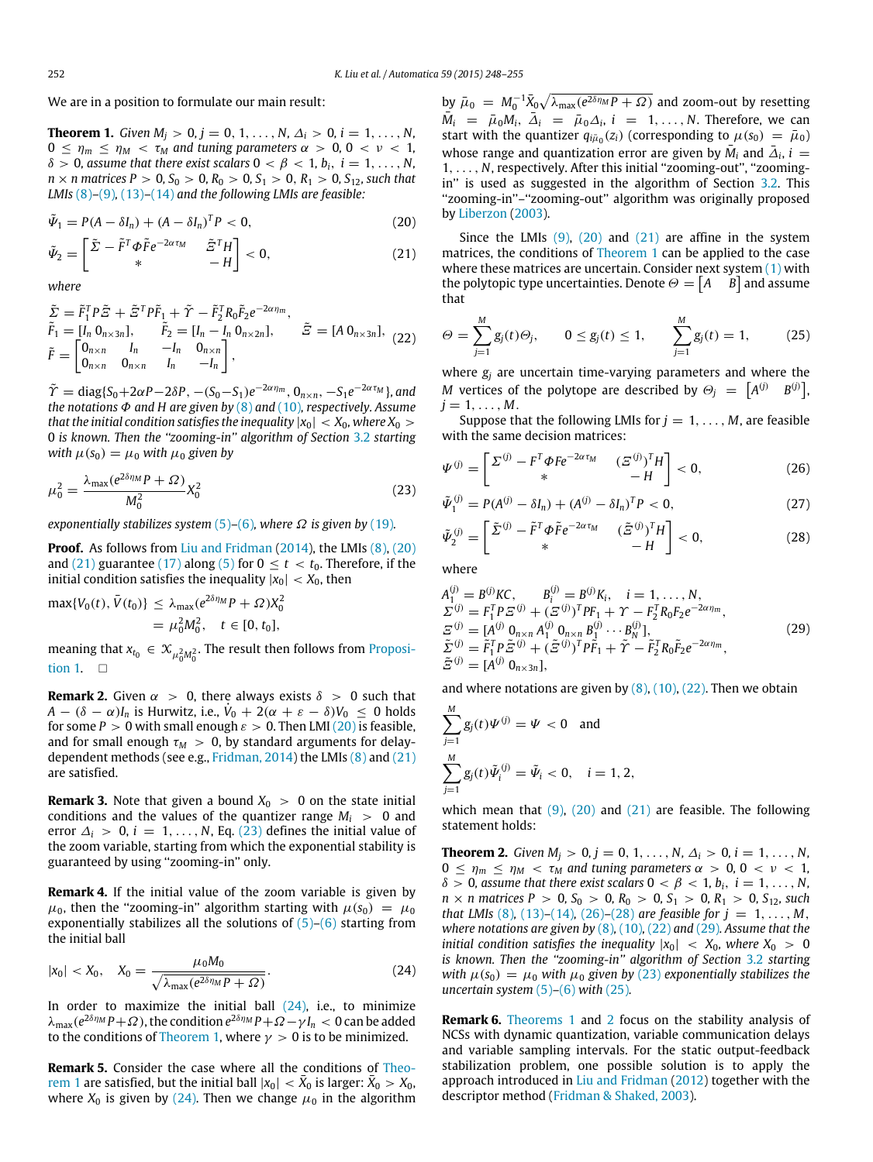We are in a position to formulate our main result:

<span id="page-4-0"></span>**Theorem 1.** *Given*  $M_i > 0$ ,  $j = 0, 1, ..., N$ ,  $\Delta_i > 0$ ,  $i = 1, ..., N$ ,  $0 \leq \eta_m \leq \eta_M < \tau_M$  and tuning parameters  $\alpha > 0$ ,  $0 < \nu < 1$ ,  $\delta > 0$ , assume that there exist scalars  $0 < \beta < 1$ ,  $b_i$ ,  $i = 1, ..., N$ ,  $n \times n$  matrices  $P > 0$ ,  $S_0 > 0$ ,  $R_0 > 0$ ,  $S_1 > 0$ ,  $R_1 > 0$ ,  $S_{12}$ , such that *LMIs* [\(8\)](#page-2-4)*–*[\(9\)](#page-2-5)*,* [\(13\)](#page-2-7)*–*[\(14\)](#page-2-9) *and the following LMIs are feasible:*

$$
\tilde{\Psi}_1 = P(A - \delta I_n) + (A - \delta I_n)^T P < 0,\tag{20}
$$

$$
\tilde{\Psi}_2 = \begin{bmatrix} \tilde{\Sigma} - \tilde{F}^T \Phi \tilde{F} e^{-2\alpha \tau_M} & \tilde{\Xi}^T H \\ * & -H \end{bmatrix} < 0, \tag{21}
$$

*where*

$$
\begin{aligned}\n\tilde{\Sigma} &= \tilde{F}_1^T P \tilde{\Xi} + \tilde{\Xi}^T P \tilde{F}_1 + \tilde{\Upsilon} - \tilde{F}_2^T R_0 \tilde{F}_2 e^{-2\alpha \eta_m}, \\
\tilde{F}_1 &= [I_n \ 0_{n \times 3n}], \qquad \tilde{F}_2 &= [I_n - I_n \ 0_{n \times 2n}], \qquad \tilde{\Xi} = [A \ 0_{n \times 3n}], \\
\tilde{F} &= \begin{bmatrix} 0_{n \times n} & I_n & -I_n & 0_{n \times n} \\ 0_{n \times n} & 0_{n \times n} & I_n & -I_n \end{bmatrix},\n\end{aligned} \tag{22}
$$

 $\tilde{\Upsilon}$  = diag{S<sub>0</sub>+2 $\alpha$ P-2 $\delta$ P, -(S<sub>0</sub>-S<sub>1</sub>)e<sup>-2 $\alpha$ n<sub>*m*</sub></sub>, 0<sub>n×n</sub>, -S<sub>1</sub>e<sup>-2 $\alpha$ τ</sup>*M*}, and</sup> *the notations* Φ *and H are given by* [\(8\)](#page-2-4) and [\(10\)](#page-2-11)*, respectively. Assume that the initial condition satisfies the inequality*  $|x_0| < X_0$ *, where*  $X_0 >$ 0 *is known. Then the ''zooming-in'' algorithm of Section* [3.2](#page-3-0) *starting with*  $\mu(s_0) = \mu_0$  *with*  $\mu_0$  *given by* 

$$
\mu_0^2 = \frac{\lambda_{\text{max}}(e^{2\delta\eta_M}P + \Omega)}{M_0^2}X_0^2\tag{23}
$$

*exponentially stabilizes system* [\(5\)](#page-1-4)–[\(6\)](#page-2-1)*, where*  $\Omega$  *is given by* [\(19\)](#page-3-4)*.* 

**Proof.** As follows from [Liu](#page-7-20) [and](#page-7-20) [Fridman](#page-7-20) [\(2014\)](#page-7-20), the LMIs [\(8\),](#page-2-4) [\(20\)](#page-4-1) and [\(21\)](#page-4-2) guarantee [\(17\)](#page-3-5) along [\(5\)](#page-1-4) for  $0 \le t < t_0$ . Therefore, if the initial condition satisfies the inequality  $|x_0| < X_0$ , then

$$
\max\{V_0(t), \bar{V}(t_0)\} \le \lambda_{\max}(e^{2\delta \eta_M} P + \Omega)X_0^2
$$
  
=  $\mu_0^2 M_0^2$ ,  $t \in [0, t_0]$ ,

[m](#page-3-6)eaning that  $x_{t_0} \in \mathcal{X}_{\mu_0^2 M_0^2}$ . The result then follows from [Proposi](#page-3-6)[tion 1.](#page-3-6)  $\square$ 

**Remark 2.** Given  $\alpha > 0$ , there always exists  $\delta > 0$  such that  $A - (\delta - \alpha)I_n$  is Hurwitz, i.e.,  $\dot{V}_0 + 2(\alpha + \varepsilon - \delta)V_0 \le 0$  holds for some  $P > 0$  with small enough  $\varepsilon > 0$ . Then LMI [\(20\)](#page-4-1) is feasible, and for small enough  $\tau_M > 0$ , by standard arguments for delaydependent methods (see e.g., [Fridman,](#page-7-19) [2014\)](#page-7-19) the LMIs [\(8\)](#page-2-4) and [\(21\)](#page-4-2) are satisfied.

**Remark 3.** Note that given a bound  $X_0 > 0$  on the state initial conditions and the values of the quantizer range  $M_i > 0$  and error  $\Delta_i > 0$ ,  $i = 1, \ldots, N$ , Eq. [\(23\)](#page-4-3) defines the initial value of the zoom variable, starting from which the exponential stability is guaranteed by using ''zooming-in'' only.

**Remark 4.** If the initial value of the zoom variable is given by  $\mu_0$ , then the "zooming-in" algorithm starting with  $\mu(s_0) = \mu_0$ exponentially stabilizes all the solutions of  $(5)-(6)$  $(5)-(6)$  starting from the initial ball

$$
|x_0| < X_0, \quad X_0 = \frac{\mu_0 M_0}{\sqrt{\lambda_{\text{max}} (e^{2\delta \eta_M} P + \Omega)}}. \tag{24}
$$

In order to maximize the initial ball  $(24)$ , i.e., to minimize  $\lambda_{\max}(e^{2\delta\eta_M}P+\Omega)$ , the condition  $e^{2\delta\eta_M}P+\Omega-\gamma I_n < 0$  can be added to the conditions of [Theorem 1,](#page-4-0) where  $\gamma > 0$  is to be minimized.

**[R](#page-4-0)emark 5.** Consider the case where all the conditions of [Theo](#page-4-0)[rem 1](#page-4-0) are satisfied, but the initial ball  $|x_0| < \bar{X}_0$  is larger:  $\bar{X}_0 > X_0$ , where  $X_0$  is given by [\(24\).](#page-4-4) Then we change  $\mu_0$  in the algorithm by  $\bar{\mu}_0 = M_0^{-1} \bar{X}_0 \sqrt{\lambda_{\text{max}}(e^{2\delta \eta_M} P + \Omega)}$  and zoom-out by resetting  $\bar{M}_i$  =  $\bar{\mu}_0 M_i$ ,  $\bar{\Delta}_i$  =  $\bar{\mu}_0 \Delta_i$ ,  $i$  = 1, ..., *N*. Therefore, we can start with the quantizer  $q_{i\bar{\mu}_0}(z_i)$  (corresponding to  $\mu(s_0) = \bar{\mu}_0$ ) whose range and quantization error are given by  $\bar{M}_i$  and  $\bar{\Delta}_i$ ,  $i =$ 1, . . . , *N*, respectively. After this initial ''zooming-out'', ''zoomingin'' is used as suggested in the algorithm of Section [3.2.](#page-3-0) This ''zooming-in''–''zooming-out'' algorithm was originally proposed by [Liberzon](#page-7-7) [\(2003\)](#page-7-7).

<span id="page-4-2"></span><span id="page-4-1"></span>Since the LMIs  $(9)$ ,  $(20)$  and  $(21)$  are affine in the system matrices, the conditions of [Theorem 1](#page-4-0) can be applied to the case where these matrices are uncertain. Consider next system  $(1)$  with the polytopic type uncertainties. Denote  $\Theta = \begin{bmatrix} A & B \end{bmatrix}$  and assume that

<span id="page-4-9"></span><span id="page-4-5"></span>
$$
\Theta = \sum_{j=1}^{M} g_j(t) \Theta_j, \qquad 0 \le g_j(t) \le 1, \qquad \sum_{j=1}^{M} g_j(t) = 1, \qquad (25)
$$

where *g<sup>j</sup>* are uncertain time-varying parameters and where the *M* vertices of the polytope are described by  $\Theta_j = \begin{bmatrix} A^{(j)} & B^{(j)} \end{bmatrix}$  $j = 1, \ldots, M$ .

Suppose that the following LMIs for  $j = 1, \ldots, M$ , are feasible with the same decision matrices:

<span id="page-4-6"></span><span id="page-4-3"></span>
$$
\Psi^{(j)} = \begin{bmatrix} \Sigma^{(j)} - F^T \Phi F e^{-2\alpha \tau_M} & (\Sigma^{(j)})^T H \\ * & -H \end{bmatrix} < 0, \tag{26}
$$

$$
\tilde{\Psi}_1^{(j)} = P(A^{(j)} - \delta I_n) + (A^{(j)} - \delta I_n)^T P < 0,\tag{27}
$$

<span id="page-4-7"></span>
$$
\tilde{\Psi}_2^{(j)} = \begin{bmatrix} \tilde{\Sigma}^{(j)} - \tilde{F}^T \Phi \tilde{F} e^{-2\alpha \tau_M} & (\tilde{\Xi}^{(j)})^T H \\ * & -H \end{bmatrix} < 0,
$$
\n(28)

where

<span id="page-4-8"></span>
$$
A_{1}^{(i)} = B^{(j)}KC, \t B_{i}^{(i)} = B^{(j)} K_{i}, \t i = 1, ..., N,\n\Sigma^{(j)} = F_{1}^{T} P \Xi^{(j)} + (\Xi^{(j)})^{T} P F_{1} + \Upsilon - F_{2}^{T} R_{0} F_{2} e^{-2\alpha \eta_{m}},\n\Sigma^{(j)} = [A^{(j)} 0_{n \times n} A_{1}^{(j)} 0_{n \times n} B_{1}^{(j)} \cdots B_{N}^{(j)}],\n\tilde{\Sigma}^{(j)} = \tilde{F}_{1}^{T} P \tilde{\Xi}^{(j)} + (\tilde{\Xi}^{(j)})^{T} P \tilde{F}_{1} + \tilde{\Upsilon} - \tilde{F}_{2}^{T} R_{0} \tilde{F}_{2} e^{-2\alpha \eta_{m}},\n\tilde{\Xi}^{(j)} = [A^{(j)} 0_{n \times 3n}],
$$
\n(29)

and where notations are given by  $(8)$ ,  $(10)$ ,  $(22)$ . Then we obtain

$$
\sum_{j=1}^{M} g_j(t)\Psi^{(j)} = \Psi < 0 \text{ and}
$$
\n
$$
\sum_{j=1}^{M} g_j(t)\tilde{\Psi}_i^{(j)} = \tilde{\Psi}_i < 0, \quad i = 1, 2,
$$

which mean that  $(9)$ ,  $(20)$  and  $(21)$  are feasible. The following statement holds:

<span id="page-4-10"></span>**Theorem 2.** *Given*  $M_j > 0$ ,  $j = 0, 1, ..., N$ ,  $\Delta_i > 0$ ,  $i = 1, ..., N$ ,  $0 \leq \eta_m \leq \eta_M < \tau_M$  and tuning parameters  $\alpha > 0$ ,  $0 < \nu < 1$ ,  $\delta > 0$ , assume that there exist scalars  $0 < \beta < 1$ ,  $b_i$ ,  $i = 1, \ldots, N$ ,  $n \times n$  matrices  $P > 0$ ,  $S_0 > 0$ ,  $R_0 > 0$ ,  $S_1 > 0$ ,  $R_1 > 0$ ,  $S_{12}$ , such *that LMIs* [\(8\)](#page-2-4), [\(13\)](#page-2-7)–[\(14\)](#page-2-9), [\(26\)](#page-4-6)–[\(28\)](#page-4-7) *are feasible for*  $j = 1, ..., M$ , *where notations are given by* [\(8\)](#page-2-4)*,* [\(10\)](#page-2-11)*,* [\(22\)](#page-4-5) *and* [\(29\)](#page-4-8)*. Assume that the initial condition satisfies the inequality*  $|x_0| < X_0$ , where  $X_0 > 0$ *is known. Then the ''zooming-in'' algorithm of Section* [3.2](#page-3-0) *starting with*  $\mu(s_0) = \mu_0$  *with*  $\mu_0$  *given by* [\(23\)](#page-4-3) *exponentially stabilizes the uncertain system* [\(5\)](#page-1-4)*–*[\(6\)](#page-2-1) *with* [\(25\)](#page-4-9)*.*

<span id="page-4-4"></span>**Remark 6.** [Theorems 1](#page-4-0) and [2](#page-4-10) focus on the stability analysis of NCSs with dynamic quantization, variable communication delays and variable sampling intervals. For the static output-feedback stabilization problem, one possible solution is to apply the approach introduced in [Liu](#page-7-21) [and](#page-7-21) [Fridman](#page-7-21) [\(2012\)](#page-7-21) together with the descriptor method [\(Fridman](#page-7-25) [&](#page-7-25) [Shaked,](#page-7-25) [2003\)](#page-7-25).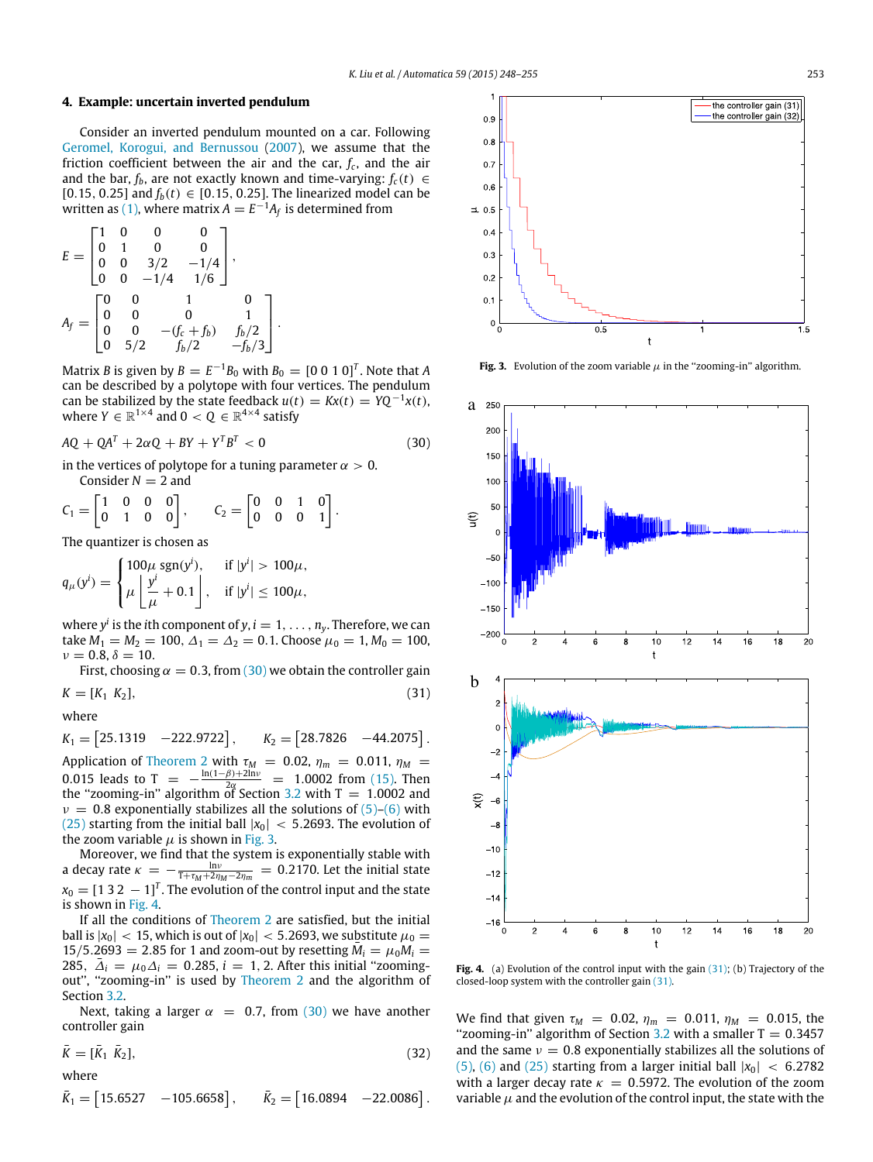## <span id="page-5-0"></span>**4. Example: uncertain inverted pendulum**

Consider an inverted pendulum mounted on a car. Following [Geromel,](#page-7-26) [Korogui,](#page-7-26) [and](#page-7-26) [Bernussou](#page-7-26) [\(2007\)](#page-7-26), we assume that the friction coefficient between the air and the car,  $f_c$ , and the air and the bar,  $f_b$ , are not exactly known and time-varying:  $f_c(t) \in$ [0.15, 0.25] and  $f_b(t) \in [0.15, 0.25]$ . The linearized model can be written as [\(1\),](#page-1-2) where matrix  $A = E^{-1}A_f$  is determined from

$$
E = \begin{bmatrix} 1 & 0 & 0 & 0 \\ 0 & 1 & 0 & 0 \\ 0 & 0 & 3/2 & -1/4 \\ 0 & 0 & -1/4 & 1/6 \end{bmatrix},
$$
  
\n
$$
A_f = \begin{bmatrix} 0 & 0 & 1 & 0 \\ 0 & 0 & 0 & 1 \\ 0 & 0 & -(f_c + f_b) & f_b/2 \\ 0 & 5/2 & f_b/2 & -f_b/3 \end{bmatrix}.
$$

Matrix *B* is given by  $B = E^{-1}B_0$  with  $B_0 = [0\ 0\ 1\ 0]^T$ . Note that *A* can be described by a polytope with four vertices. The pendulum can be stabilized by the state feedback  $u(t) = Kx(t) = YQ^{-1}x(t)$ , where  $Y \in \mathbb{R}^{1 \times 4}$  and  $0 < Q \in \mathbb{R}^{4 \times 4}$  satisfy

$$
AQ + QAT + 2\alpha Q + BY + YTBT < 0
$$
\n(30)

in the vertices of polytope for a tuning parameter  $\alpha > 0$ . Consider  $N = 2$  and

$$
C_1 = \begin{bmatrix} 1 & 0 & 0 & 0 \\ 0 & 1 & 0 & 0 \end{bmatrix}, \qquad C_2 = \begin{bmatrix} 0 & 0 & 1 & 0 \\ 0 & 0 & 0 & 1 \end{bmatrix}.
$$

The quantizer is chosen as

$$
q_{\mu}(y^{i}) = \begin{cases} 100\mu \operatorname{sgn}(y^{i}), & \text{if } |y^{i}| > 100\mu, \\ \mu \left\lfloor \frac{y^{i}}{\mu} + 0.1 \right\rfloor, & \text{if } |y^{i}| \le 100\mu, \end{cases}
$$

where  $y^i$  is the *i*th component of  $y$ ,  $i=1,\ldots,n_y.$  Therefore, we can take  $M_1 = M_2 = 100$ ,  $\Delta_1 = \Delta_2 = 0.1$ . Choose  $\mu_0 = 1$ ,  $M_0 = 100$ ,  $\nu = 0.8, \delta = 10.$ 

First, choosing  $\alpha = 0.3$ , from [\(30\)](#page-5-1) we obtain the controller gain

 $K = [K_1 \ K_2],$  (31)

where  $K_1 = [25.1319 \quad -222.9722], \qquad K_2 = [28.7826 \quad -44.2075].$ Application of [Theorem 2](#page-4-10) with  $\tau_M$  = 0.02,  $\eta_m$  = 0.011,  $\eta_M$  = 0.015 leads to T =  $-\frac{\ln(1-\beta)+2\ln\nu}{2\alpha}$  = 1.0002 from [\(15\).](#page-2-12) Then the "zooming-in" algorithm of Section [3.2](#page-3-0) with  $T = 1.0002$  and  $v = 0.8$  exponentially stabilizes all the solutions of  $(5)-(6)$  $(5)-(6)$  with

[\(25\)](#page-4-9) starting from the initial ball  $|x_0|$  < 5.2693. The evolution of the zoom variable  $\mu$  is shown in [Fig. 3.](#page-5-2)

Moreover, we find that the system is exponentially stable with a decay rate  $\kappa = -\frac{\ln v}{1 + \tau_M + 2\eta_M - 2\eta_m} = 0.2170$ . Let the initial state  $x_0 = [1\ 3\ 2\ -1]^T$ . The evolution of the control input and the state is shown in [Fig. 4.](#page-5-3)

If all the conditions of [Theorem 2](#page-4-10) are satisfied, but the initial ball is  $|x_0|$  < 15, which is out of  $|x_0|$  < 5.2693, we substitute  $\mu_0$  =  $15/5.2693 = 2.85$  for 1 and zoom-out by resetting  $\overline{M}_i = \mu_0 M_i$ 285,  $\bar{\Delta}_i = \mu_0 \Delta_i = 0.285$ , *i* = 1, 2. After this initial "zooming-out", "zooming-in" is used by [Theorem 2](#page-4-10) and the algorithm of Section [3.2.](#page-3-0)

Next, taking a larger  $\alpha = 0.7$ , from [\(30\)](#page-5-1) we have another controller gain

 $\bar{K} = [\bar{K}_1 \ \bar{K}_2]$  $[2]$ , (32)

where

$$
\bar{K}_1 = [15.6527 \quad -105.6658], \quad \bar{K}_2 = [16.0894 \quad -22.0086].
$$

<span id="page-5-2"></span>

**Fig. 3.** Evolution of the zoom variable  $\mu$  in the "zooming-in" algorithm.

<span id="page-5-3"></span><span id="page-5-1"></span>

<span id="page-5-4"></span>**Fig. 4.** (a) Evolution of the control input with the gain [\(31\);](#page-5-4) (b) Trajectory of the closed-loop system with the controller gain [\(31\).](#page-5-4)

<span id="page-5-5"></span>We find that given  $\tau_M$  = 0.02,  $\eta_m$  = 0.011,  $\eta_M$  = 0.015, the "zooming-in" algorithm of Section [3.2](#page-3-0) with a smaller  $T = 0.3457$ and the same  $v = 0.8$  exponentially stabilizes all the solutions of [\(5\),](#page-1-4) [\(6\)](#page-2-1) and [\(25\)](#page-4-9) starting from a larger initial ball  $|x_0| < 6.2782$ with a larger decay rate  $\kappa = 0.5972$ . The evolution of the zoom variable  $\mu$  and the evolution of the control input, the state with the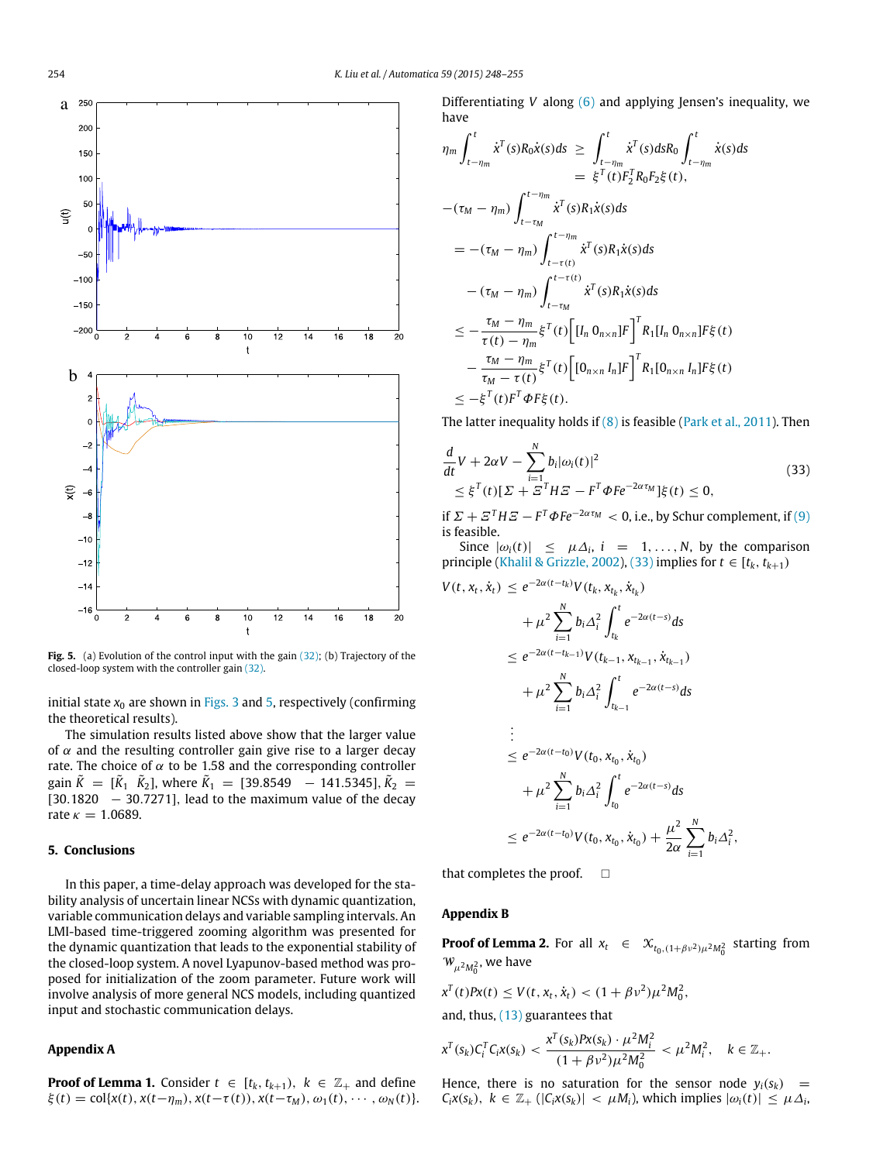<span id="page-6-3"></span>

Fig. 5. (a) Evolution of the control input with the gain [\(32\);](#page-5-5) (b) Trajectory of the closed-loop system with the controller gain [\(32\).](#page-5-5)

initial state  $x_0$  are shown in [Figs. 3](#page-5-2) and [5,](#page-6-3) respectively (confirming the theoretical results).

The simulation results listed above show that the larger value of  $\alpha$  and the resulting controller gain give rise to a larger decay rate. The choice of  $\alpha$  to be 1.58 and the corresponding controller gain  $\tilde{K} = [\tilde{K}_1 \ \tilde{K}_2]$ , where  $\tilde{K}_1 = [39.8549 \ -141.5345]$ ,  $\tilde{K}_2 =$ [30.1820 – 30.7271], lead to the maximum value of the decay rate  $\kappa = 1.0689$ .

## <span id="page-6-0"></span>**5. Conclusions**

In this paper, a time-delay approach was developed for the stability analysis of uncertain linear NCSs with dynamic quantization, variable communication delays and variable sampling intervals. An LMI-based time-triggered zooming algorithm was presented for the dynamic quantization that leads to the exponential stability of the closed-loop system. A novel Lyapunov-based method was proposed for initialization of the zoom parameter. Future work will involve analysis of more general NCS models, including quantized input and stochastic communication delays.

## <span id="page-6-1"></span>**Appendix A**

**Proof of Lemma 1.** Consider  $t \in [t_k, t_{k+1}), k \in \mathbb{Z}_+$  and define  $\xi(t) = \text{col}\{x(t), x(t-\eta_m), x(t-\tau(t)), x(t-\tau_M), \omega_1(t), \cdots, \omega_N(t)\}.$  Differentiating *V* along [\(6\)](#page-2-1) and applying Jensen's inequality, we have

$$
\eta_m \int_{t-\eta_m}^t \dot{x}^T(s) R_0 \dot{x}(s) ds \geq \int_{t-\eta_m}^t \dot{x}^T(s) ds R_0 \int_{t-\eta_m}^t \dot{x}(s) ds \n= \xi^T(t) F_2^T R_0 F_2 \xi(t), \n- (\tau_M - \eta_m) \int_{t-\tau_M}^{t-\eta_m} \dot{x}^T(s) R_1 \dot{x}(s) ds \n= - (\tau_M - \eta_m) \int_{t-\tau(t)}^{t-\eta_m} \dot{x}^T(s) R_1 \dot{x}(s) ds \n- (\tau_M - \eta_m) \int_{t-\tau_M}^{t-\tau(t)} \dot{x}^T(s) R_1 \dot{x}(s) ds \n\leq -\frac{\tau_M - \eta_m}{\tau(t) - \eta_m} \xi^T(t) \Big[ [I_n 0_{n \times n}] F \Big]^T R_1 [I_n 0_{n \times n}] F \xi(t) \n- \frac{\tau_M - \eta_m}{\tau_M - \tau(t)} \xi^T(t) \Big[ [0_{n \times n} I_n] F \Big]^T R_1 [0_{n \times n} I_n] F \xi(t) \n\leq -\xi^T(t) F^T \Phi F \xi(t).
$$

The latter inequality holds if  $(8)$  is feasible [\(Park](#page-7-24) [et al.,](#page-7-24) [2011\)](#page-7-24). Then

<span id="page-6-4"></span>
$$
\frac{d}{dt}V + 2\alpha V - \sum_{i=1}^{N} b_i |\omega_i(t)|^2
$$
\n
$$
\leq \xi^{T}(t)[\Sigma + \Xi^{T}H\Xi - F^{T}\Phi F e^{-2\alpha \tau_M}]\xi(t) \leq 0,
$$
\n(33)

if  $\Sigma + \Sigma^T H \Sigma - F^T \Phi F e^{-2\alpha \tau_M} < 0$ , i.e., by Schur complement, if [\(9\)](#page-2-5) is feasible.

Since  $|\omega_i(t)| \leq \mu \Delta_i$ ,  $i = 1, ..., N$ , by the comparison principle [\(Khalil](#page-7-27) [&](#page-7-27) [Grizzle,](#page-7-27) [2002\)](#page-7-27), [\(33\)](#page-6-4) implies for  $t \in [t_k, t_{k+1})$ 

$$
V(t, x_t, \dot{x}_t) \le e^{-2\alpha(t - t_k)} V(t_k, x_{t_k}, \dot{x}_{t_k})
$$
  
+  $\mu^2 \sum_{i=1}^N b_i \Delta_i^2 \int_{t_k}^t e^{-2\alpha(t - s)} ds$   
 $\le e^{-2\alpha(t - t_{k-1})} V(t_{k-1}, x_{t_{k-1}}, \dot{x}_{t_{k-1}})$   
+  $\mu^2 \sum_{i=1}^N b_i \Delta_i^2 \int_{t_{k-1}}^t e^{-2\alpha(t - s)} ds$   
 $\vdots$   
 $\le e^{-2\alpha(t - t_0)} V(t_0, x_{t_0}, \dot{x}_{t_0})$   
+  $\mu^2 \sum_{i=1}^N b_i \Delta_i^2 \int_{t_0}^t e^{-2\alpha(t - s)} ds$   
 $\le e^{-2\alpha(t - t_0)} V(t_0, x_{t_0}, \dot{x}_{t_0}) + \frac{\mu^2}{2\alpha} \sum_{i=1}^N b_i \Delta_i^2,$ 

that completes the proof.  $\square$ 

## <span id="page-6-2"></span>**Appendix B**

**Proof of Lemma 2.** For all  $x_t \in \mathcal{X}_{t_0,(1+\beta v^2)\mu^2 M_0^2}$  starting from  $W_{\mu^2 M_0^2}$ , we have

$$
x^{T}(t)Px(t) \leq V(t, x_{t}, \dot{x}_{t}) < (1 + \beta v^{2})\mu^{2}M_{0}^{2},
$$

and, thus, [\(13\)](#page-2-7) guarantees that

$$
x^{T}(s_{k})C_{i}^{T}C_{i}x(s_{k}) < \frac{x^{T}(s_{k})P_{i}x(s_{k}) \cdot \mu^{2}M_{i}^{2}}{(1+\beta v^{2})\mu^{2}M_{0}^{2}} < \mu^{2}M_{i}^{2}, \quad k \in \mathbb{Z}_{+}.
$$

Hence, there is no saturation for the sensor node  $y_i(s_k)$  =  $C_i X(s_k)$ ,  $k \in \mathbb{Z}_+$  ( $|C_i X(s_k)| < \mu M_i$ ), which implies  $|\omega_i(t)| \leq \mu \Delta_i$